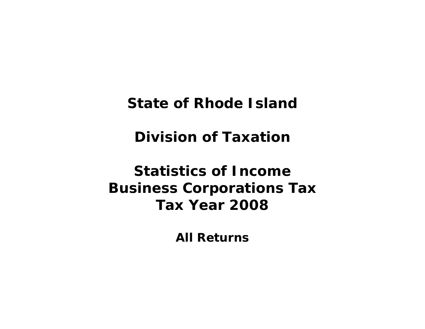**State of Rhode Island** 

**Division of Taxation** 

**Statistics of Income Business Corporations Tax Tax Year 2008** 

**All Returns**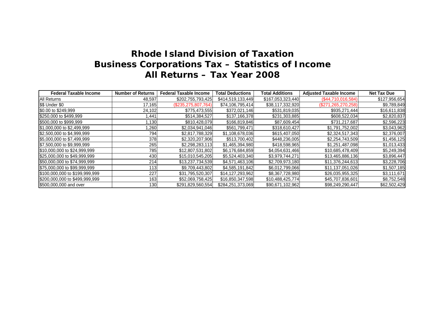| <b>Federal Taxable Income</b>  | <b>Number of Returns</b> | <b>Federal Taxable Income</b> | <b>Total Deductions</b> | <b>Total Additions</b> | <b>Adjusted Taxable Income</b> | <b>Net Tax Due</b> |
|--------------------------------|--------------------------|-------------------------------|-------------------------|------------------------|--------------------------------|--------------------|
| <b>All Returns</b>             | 48,597                   | \$202,755,793,425             | \$414,519,133,449       | \$167,053,323,440      | (\$44,710,016,584)             | \$127,956,654      |
| \$\$ Under \$0                 | 17,165                   | $(\$235,275,807,764)$         | \$74,106,795,414        | \$38,117,332,920       | (\$271, 265, 270, 258)         | \$9,789,849        |
| \$0.00 to \$249,999            | 24,102                   | \$775,473,555                 | \$372,021,146           | \$531,819,035          | \$935,271,444                  | \$16,611,838       |
| \$250,000 to \$499,999         | 1,441                    | \$514,384,527                 | \$137,166,378           | \$231,303,885          | \$608,522,034                  | \$2,820,837        |
| \$500,000 to \$999,999         | 1,130                    | \$810,428,079                 | \$166,819,846           | \$87,609,454           | \$731,217,687                  | \$2,596,223        |
| \$1,000,000 to \$2,499,999     | ,260                     | \$2,034,941,046               | \$561,799,471           | \$318,610,427          | \$1,791,752,002                | \$3,043,962        |
| \$2,500,000 to \$4,999,999     | 794                      | \$2,817,788,329               | \$1,108,678,036         | \$615,407,050          | \$2,324,517,343                | \$2,376,007        |
| \$5,000,000 to \$7,499,999     | <b>378</b>               | \$2,320,207,906               | \$513,700,402           | \$448,236,005          | \$2,254,743,509                | \$1,456,125        |
| \$7,500,000 to \$9,999,999     | 265                      | \$2,298,283,113               | \$1,465,394,980         | \$418,598,965          | \$1,251,487,098                | \$1,013,433        |
| \$10,000,000 to \$24,999,999   | 785                      | \$12,807,531,802              | \$6,176,684,859         | \$4,054,631,466        | \$10,685,478,409               | \$5,249,394        |
| \$25,000,000 to \$49,999,999   | 430                      | \$15,010,545,205              | \$5,524,403,340         | \$3,979,744,271        | \$13,465,886,136               | \$3,896,447        |
| \$50,000,000 to \$74,999,999   | 214                      | \$13,237,734,539              | \$4,571,463,106         | \$2,709,973,180        | \$11,376,244,613               | \$3,228,706        |
| \$75,000,000 to \$99,999,999   | 113                      | \$9,709,443,802               | \$4,585,191,842         | \$6,012,799,066        | \$11,137,051,026               | \$1,507,185        |
| \$100,000,000 to \$199,999,999 | 227                      | \$31,795,520,307              | \$14,127,293,962        | \$8,367,728,980        | \$26,035,955,325               | \$3,111,671        |
| \$200,000,000 to \$499,999,999 | 163                      | \$52,069,758,425              | \$16,850,347,598        | \$10,488,425,774       | \$45,707,836,601               | \$8,752,548        |
| \$500,000,000 and over         | 130                      | \$291,829,560,554             | \$284,251,373,069       | \$90,671,102,962       | \$98,249,290,447               | \$62,502,429       |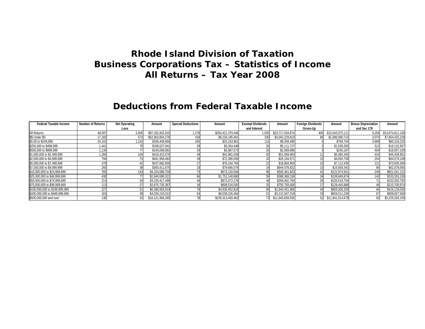### **Deductions from Federal Taxable Income**

| <b>Federal Taxable Income</b>  | <b>Number of Returns</b> | <b>Net Operating</b> | Amount           | <b>Special Deductions</b> | Amount            | <b>Exempt Dividends</b> | Amount           | <b>Foreign Dividends</b> | Amount           | <b>Bonus Depreciation</b> | Amount           |
|--------------------------------|--------------------------|----------------------|------------------|---------------------------|-------------------|-------------------------|------------------|--------------------------|------------------|---------------------------|------------------|
|                                |                          | Loss                 |                  |                           |                   | and Interest            |                  | Gross-Up                 |                  | and Sec 179               |                  |
| All Returns                    | 48,597                   | 2,605                | \$97,262,832,910 | 1.278                     | \$264.421.379.446 | $^{\circ}$ .035         | \$23,717,034,874 |                          | \$15,043,075,111 | 9.256                     | \$14,074,811,108 |
| \$\$ Under \$0                 | 17,165                   | 573                  | \$52,903,854,276 |                           | \$8,226,195,491   | 330                     | \$4,042,229,823  |                          | \$1,080,090,715  | 3,070                     | \$7,854,425,109  |
| \$0.00 to \$249,999            | 24,102                   | 1.216                | \$256,409,866    | 265                       | \$25,163,861      |                         | \$9,359,490      |                          | \$769,704        | 3.689                     | \$80,318,225     |
| \$250,000 to \$499,999         | 1,441                    |                      | \$109,027,941    |                           | \$3,354,448       |                         | \$5,111,727      |                          | \$1,539,305      |                           | \$18,132,957     |
| \$500,000 to \$999,999         | 1,130                    |                      | \$140,009,991    |                           | \$5,987,573       |                         | \$2,569,986      |                          | \$245,187        | 404                       | \$18,007,109     |
| \$1,000,000 to \$2,499,999     | 1,260                    |                      | \$416,422,576    |                           | \$42,981,639      |                         | \$51,569,950     |                          | \$5,385,345      | 434                       | \$45,439,961     |
| \$2,500,000 to \$4,999,999     | 794                      |                      | \$941,958,493    |                           | \$72,385,006      |                         | \$25,104,671     |                          | \$4,650,758      | 254                       | \$64,579,108     |
| \$5,000,000 to \$7,499,999     | 378                      |                      | \$337,682,930    |                           | \$76,164,765      |                         | \$18,804,903     |                          | \$7,112,435      | 121                       | \$73,935,369     |
| \$7,500,000 to \$9,999,999     | 265                      |                      | \$363,411,675    |                           | \$79,666,576      |                         | \$944.578.822    |                          | \$15,659,342     |                           | \$62,078,565     |
| \$10,000,000 to \$24,999,999   | 785                      | 143                  | \$4,224,086,759  |                           | \$673,120,594     | 96                      | \$505,461,823    |                          | \$122,974,561    | 249                       | \$651,041,122    |
| \$25,000,000 to \$49,999,999   | 430                      |                      | \$2,940,690,321  |                           | \$1,752,140,880   |                         | \$388,369,156    | 34                       | \$109,849,874    | 143                       | \$333,353,109    |
| \$50,000,000 to \$74,999,999   | 214                      |                      | \$3,220,417,499  |                           | \$873.572.276     |                         | \$269.402.784    |                          | \$105,519,754    |                           | \$102,550,793    |
| \$75,000,000 to \$99,999,999   |                          |                      | \$2.875.735.387  |                           | \$608,516,593     |                         | \$755.793.000    |                          | \$129,445,888    |                           | \$215,700,974    |
| \$100,000,000 to \$199,999,999 | 227                      |                      | \$6,380,953,919  |                           | \$4,630,452,818   |                         | \$1,840,451,866  |                          | \$859,306,329    |                           | \$416,129,030    |
| \$200,000,000 to \$499,999,999 | 163                      | 38                   | \$4,030,215,012  |                           | \$8,038,226,464   |                         | \$3,212,567,318  |                          | \$659.511.236    |                           | \$909,827,568    |
| \$500,000,000 and over         |                          |                      | \$18,121,956,265 |                           | \$239,313,450,462 | 73                      | \$11,645,659,555 |                          | \$11,941,014,678 |                           | \$3,229,292,109  |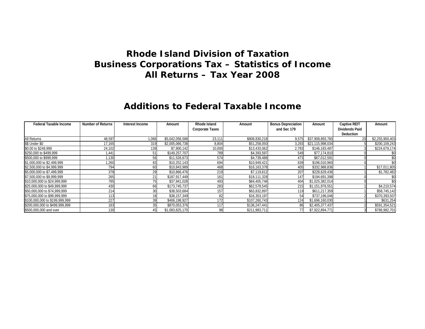### **Additions to Federal Taxable Income**

| <b>Federal Taxable Income</b>  | <b>Number of Returns</b> | Interest Income | Amount          | Rhode Island           | Amount        | <b>Bonus Depreciation</b> | Amount           | <b>Captive REIT</b>   | Amount          |
|--------------------------------|--------------------------|-----------------|-----------------|------------------------|---------------|---------------------------|------------------|-----------------------|-----------------|
|                                |                          |                 |                 | <b>Corporate Taxes</b> |               | and Sec 179               |                  | <b>Dividends Paid</b> |                 |
|                                |                          |                 |                 |                        |               |                           |                  | <b>Deduction</b>      |                 |
| All Returns                    | 48,597                   | 1,066           | \$5,042,056,588 | 23,111                 | \$808,830,218 | 9,575                     | \$37,908,893,760 | 20                    | \$2,255,900,403 |
| \$\$ Under \$0                 | 17,165                   | 319             | \$2,005,066,738 | 8,804                  | \$51,258,050  | 3,293                     | \$21,115,998,034 |                       | \$200,109,243   |
| \$0.00 to \$249,999            | 24,102                   | 139             | \$7,900,142     | 10,000                 | \$13,433,062  | 2,783                     | \$146,183,487    |                       | \$224,679,174   |
| \$250,000 to \$499,999         | .441                     | 51              | \$149,257,707   | 789                    | \$4,393,597   | 549                       | \$77,174,810     |                       |                 |
| \$500,000 to \$999,999         | ,130                     | 56              | \$11,526,673    | 574                    | \$4,739,488   | 473                       | \$67,012,591     |                       |                 |
| \$1,000,000 to \$2,499,999     | ,260                     | 83              | \$10,252,143    | 694                    | \$10,949,421  | 639                       | \$196,010,960    |                       |                 |
| \$2,500,000 to \$4,999,999     | 794                      | 60              | \$10,843,989    | 468                    | \$16,163,378  | 405                       | \$332,988,836    |                       | \$17,011,805    |
| \$5,000,000 to \$7,499,999     | 378                      | 29              | \$10,866,476    | 219                    | \$7,119,612   | 207                       | \$228,629,436    |                       | \$1,782,482     |
| \$7,500,000 to \$9,999,999     | 265                      | 21              | \$187,917,449   | 161                    | \$18,111,328  | 147                       | \$194,691,398    |                       |                 |
| \$10,000,000 to \$24,999,999   | 785                      | 75              | \$37,941,028    | 493                    | \$84,405,748  | 404                       | \$1,025,382,014  |                       |                 |
| \$25,000,000 to \$49,999,999   | 430                      | 66              | \$173,745,737   | 283                    | \$62,578,545  | 215                       | \$1,151,976,551  |                       | \$4,210,574     |
| \$50,000,000 to \$74,999,999   | 214                      | 30              | \$38,503,684    | 157                    | \$63,832,897  | 119                       | \$611,217,359    |                       | \$58,745,142    |
| \$75,000,000 to \$99,999,999   | 113                      |                 | \$38,157,349    | 82                     | \$16,353,197  | 54                        | \$737,196,046    |                       | \$370,393,507   |
| \$100,000,000 to \$199,999,999 | 227                      | 39              | \$406,198,927   | 172                    | \$107,260,743 | 124                       | \$1,696,160,030  |                       | \$631,254       |
| \$200,000,000 to \$499,999,999 | 163                      | 35              | \$870,053,376   | 117                    | \$136,247,441 | 86                        | \$2,405,377,437  |                       | \$591,354,521   |
| \$500,000,000 and over         | 130                      | 45              | \$1,083,825,170 |                        | \$211,983,711 | 77                        | \$7,922,894,771  |                       | \$786,982,701   |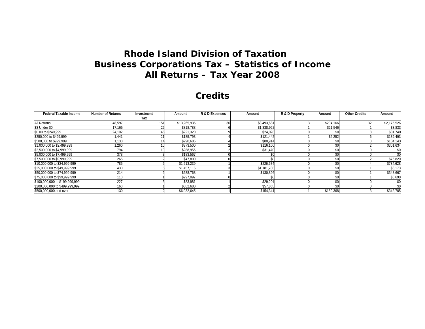#### **Credits**

| <b>Federal Taxable Income</b>  | <b>Number of Returns</b> | Investment | Amount       | R & D Expenses | Amount      | R & D Property | Amount    | <b>Other Credits</b> | Amount      |
|--------------------------------|--------------------------|------------|--------------|----------------|-------------|----------------|-----------|----------------------|-------------|
|                                |                          | Tax        |              |                |             |                |           |                      |             |
| All Returns                    | 48,597                   | 151        | \$13,265,936 | 36             | \$3,493,681 |                | \$204,166 | 32                   | \$2,175,526 |
| \$\$ Under \$0                 | 17,165                   | 26         | \$318,788    |                | \$1,338,962 |                | \$21,546  |                      | \$3,833     |
| \$0.00 to \$249,999            | 24,102                   |            | \$221,320    |                | \$24,028    |                | \$0       |                      | \$31,740    |
| \$250,000 to \$499,999         | .441                     | 21         | \$185,793    |                | \$121,442   |                | \$2,252   |                      | \$139,493   |
| \$500,000 to \$999,999         | .130                     |            | \$290,686    |                | \$80,914    |                | \$0       |                      | \$184,143   |
| \$1,000,000 to \$2,499,999     | .260                     |            | \$373,500    |                | \$116,100   |                | \$0       |                      | \$301,634   |
| \$2,500,000 to \$4,999,999     | 794                      |            | \$288,956    |                | \$31,470    |                | \$0       |                      | \$0         |
| \$5,000,000 to \$7,499,999     | 378                      |            | \$183,567    |                | \$0         |                | \$0       |                      | \$0         |
| \$7,500,000 to \$9,999,999     | 265                      |            | \$47,800     |                | ¢n          |                | \$0       |                      | \$75,820    |
| \$10,000,000 to \$24,999,999   | 785                      |            | \$1,513,239  |                | \$226,674   |                | \$0       |                      | \$734,628   |
| \$25,000,000 to \$49,999,999   | 430                      |            | \$1,457,116  |                | \$1,181,788 |                | \$0       |                      | \$6,173     |
| \$50,000,000 to \$74,999,999   | 214                      |            | \$688,768    |                | \$130,896   |                | \$0       |                      | \$348,667   |
| \$75,000,000 to \$99,999,999   | 113                      |            | \$297,097    |                | \$0         |                | \$0       |                      | \$6,690     |
| \$100,000,000 to \$199,999,999 | 227                      |            | \$83,981     |                | \$29,201    |                | \$0       |                      | \$0         |
| \$200,000,000 to \$499,999,999 | 163                      |            | \$382,680    |                | \$57,865    |                | \$0       |                      |             |
| \$500,000,000 and over         | 130                      |            | \$6,932,645  |                | \$154,341   |                | \$180,368 |                      | \$342,705   |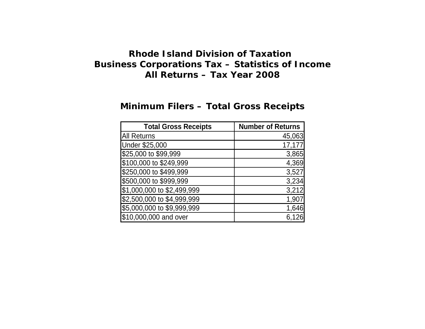# **Minimum Filers – Total Gross Receipts**

| <b>Total Gross Receipts</b> | <b>Number of Returns</b> |
|-----------------------------|--------------------------|
| <b>All Returns</b>          | 45,063                   |
| Under \$25,000              | 17,177                   |
| \$25,000 to \$99,999        | 3,865                    |
| \$100,000 to \$249,999      | 4,369                    |
| \$250,000 to \$499,999      | 3,527                    |
| \$500,000 to \$999,999      | 3,234                    |
| \$1,000,000 to \$2,499,999  | 3,212                    |
| \$2,500,000 to \$4,999,999  | 1,907                    |
| \$5,000,000 to \$9,999,999  | 1,646                    |
| \$10,000,000 and over       | 6.126                    |